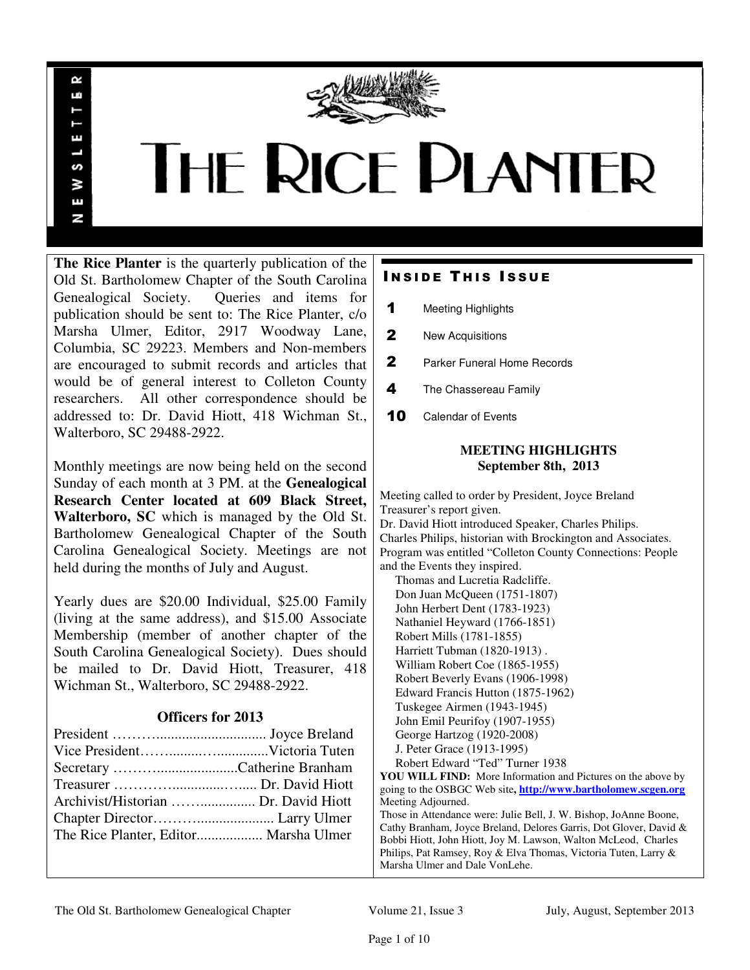

# **THE RICE PLANTER**

**The Rice Planter** is the quarterly publication of the Old St. Bartholomew Chapter of the South Carolina Genealogical Society. Queries and items for publication should be sent to: The Rice Planter, c/o Marsha Ulmer, Editor, 2917 Woodway Lane, Columbia, SC 29223. Members and Non-members are encouraged to submit records and articles that would be of general interest to Colleton County researchers. All other correspondence should be addressed to: Dr. David Hiott, 418 Wichman St., Walterboro, SC 29488-2922.

R uń

ш

S š E N

Monthly meetings are now being held on the second Sunday of each month at 3 PM. at the **Genealogical Research Center located at 609 Black Street, Walterboro, SC** which is managed by the Old St. Bartholomew Genealogical Chapter of the South Carolina Genealogical Society. Meetings are not held during the months of July and August.

Yearly dues are \$20.00 Individual, \$25.00 Family (living at the same address), and \$15.00 Associate Membership (member of another chapter of the South Carolina Genealogical Society). Dues should be mailed to Dr. David Hiott, Treasurer, 418 Wichman St., Walterboro, SC 29488-2922.

# **Officers for 2013**

| Archivist/Historian  Dr. David Hiott  |  |
|---------------------------------------|--|
|                                       |  |
| The Rice Planter, Editor Marsha Ulmer |  |
|                                       |  |

# **INSIDE THIS ISSUE**

- 1 Meeting Highlights
- 2 New Acquisitions
- 2 Parker Funeral Home Records
- 4 The Chassereau Family
- 10 Calendar of Events

# **MEETING HIGHLIGHTS September 8th, 2013**

Meeting called to order by President, Joyce Breland Treasurer's report given. Dr. David Hiott introduced Speaker, Charles Philips. Charles Philips, historian with Brockington and Associates. Program was entitled "Colleton County Connections: People and the Events they inspired. Thomas and Lucretia Radcliffe. Don Juan McQueen (1751-1807)

 John Herbert Dent (1783-1923) Nathaniel Heyward (1766-1851) Robert Mills (1781-1855) Harriett Tubman (1820-1913) . William Robert Coe (1865-1955) Robert Beverly Evans (1906-1998) Edward Francis Hutton (1875-1962) Tuskegee Airmen (1943-1945) John Emil Peurifoy (1907-1955) George Hartzog (1920-2008) J. Peter Grace (1913-1995) Robert Edward "Ted" Turner 1938

**YOU WILL FIND:** More Information and Pictures on the above by going to the OSBGC Web site**, http://www.bartholomew.scgen.org** Meeting Adjourned. Those in Attendance were: Julie Bell, J. W. Bishop, JoAnne Boone, Cathy Branham, Joyce Breland, Delores Garris, Dot Glover, David & Bobbi Hiott, John Hiott, Joy M. Lawson, Walton McLeod, Charles Philips, Pat Ramsey, Roy & Elva Thomas, Victoria Tuten, Larry &

# The Old St. Bartholomew Genealogical Chapter Volume 21, Issue 3 July, August, September 2013

Marsha Ulmer and Dale VonLehe.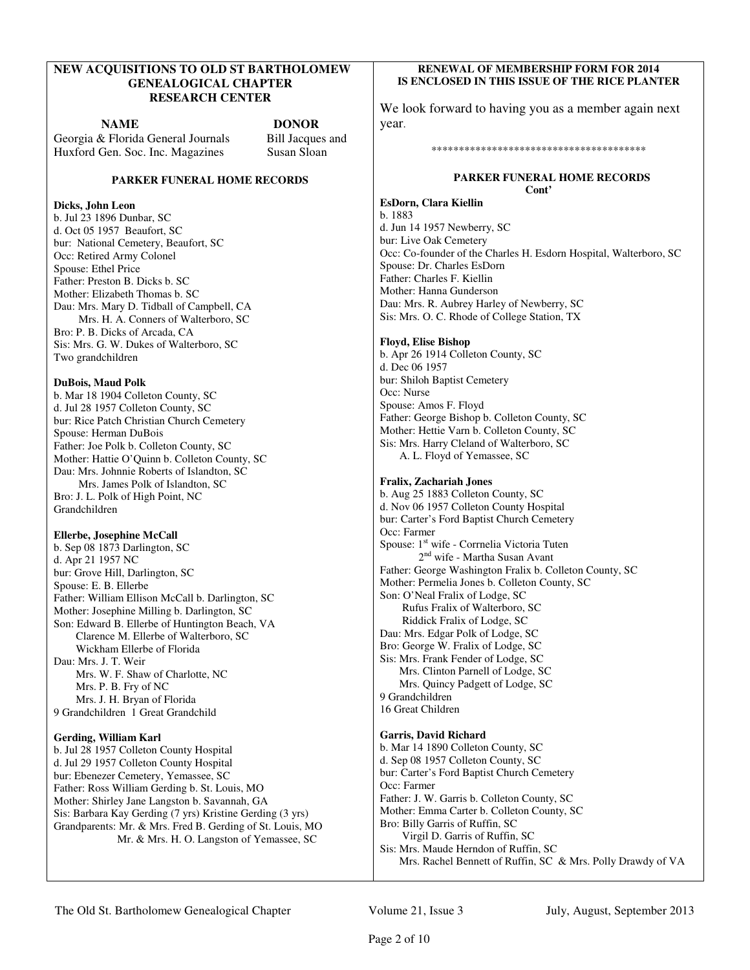# **NEW ACQUISITIONS TO OLD ST BARTHOLOMEW GENEALOGICAL CHAPTER RESEARCH CENTER**

**NAME DONOR**

Georgia & Florida General Journals Bill Jacques and Huxford Gen. Soc. Inc. Magazines Susan Sloan

#### **PARKER FUNERAL HOME RECORDS**

# **Dicks, John Leon**

b. Jul 23 1896 Dunbar, SC d. Oct 05 1957 Beaufort, SC bur: National Cemetery, Beaufort, SC Occ: Retired Army Colonel Spouse: Ethel Price Father: Preston B. Dicks b. SC Mother: Elizabeth Thomas b. SC Dau: Mrs. Mary D. Tidball of Campbell, CA Mrs. H. A. Conners of Walterboro, SC Bro: P. B. Dicks of Arcada, CA Sis: Mrs. G. W. Dukes of Walterboro, SC Two grandchildren

#### **DuBois, Maud Polk**

b. Mar 18 1904 Colleton County, SC d. Jul 28 1957 Colleton County, SC bur: Rice Patch Christian Church Cemetery Spouse: Herman DuBois Father: Joe Polk b. Colleton County, SC Mother: Hattie O'Quinn b. Colleton County, SC Dau: Mrs. Johnnie Roberts of Islandton, SC Mrs. James Polk of Islandton, SC Bro: J. L. Polk of High Point, NC Grandchildren

#### **Ellerbe, Josephine McCall**

b. Sep 08 1873 Darlington, SC d. Apr 21 1957 NC bur: Grove Hill, Darlington, SC Spouse: E. B. Ellerbe Father: William Ellison McCall b. Darlington, SC Mother: Josephine Milling b. Darlington, SC Son: Edward B. Ellerbe of Huntington Beach, VA Clarence M. Ellerbe of Walterboro, SC Wickham Ellerbe of Florida Dau: Mrs. J. T. Weir Mrs. W. F. Shaw of Charlotte, NC Mrs. P. B. Fry of NC Mrs. J. H. Bryan of Florida 9 Grandchildren 1 Great Grandchild

# **Gerding, William Karl**

b. Jul 28 1957 Colleton County Hospital d. Jul 29 1957 Colleton County Hospital bur: Ebenezer Cemetery, Yemassee, SC Father: Ross William Gerding b. St. Louis, MO Mother: Shirley Jane Langston b. Savannah, GA Sis: Barbara Kay Gerding (7 yrs) Kristine Gerding (3 yrs) Grandparents: Mr. & Mrs. Fred B. Gerding of St. Louis, MO Mr. & Mrs. H. O. Langston of Yemassee, SC

## **RENEWAL OF MEMBERSHIP FORM FOR 2014 IS ENCLOSED IN THIS ISSUE OF THE RICE PLANTER**

We look forward to having you as a member again next year.

#### \*\*\*\*\*\*\*\*\*\*\*\*\*\*\*\*\*\*\*\*\*\*\*\*\*\*\*\*\*\*\*\*\*\*\*\*\*\*\*

#### **PARKER FUNERAL HOME RECORDS Cont'**

**EsDorn, Clara Kiellin**  b. 1883 d. Jun 14 1957 Newberry, SC bur: Live Oak Cemetery Occ: Co-founder of the Charles H. Esdorn Hospital, Walterboro, SC Spouse: Dr. Charles EsDorn Father: Charles F. Kiellin Mother: Hanna Gunderson Dau: Mrs. R. Aubrey Harley of Newberry, SC Sis: Mrs. O. C. Rhode of College Station, TX

#### **Floyd, Elise Bishop**

b. Apr 26 1914 Colleton County, SC d. Dec 06 1957 bur: Shiloh Baptist Cemetery Occ: Nurse Spouse: Amos F. Floyd Father: George Bishop b. Colleton County, SC Mother: Hettie Varn b. Colleton County, SC Sis: Mrs. Harry Cleland of Walterboro, SC A. L. Floyd of Yemassee, SC

# **Fralix, Zachariah Jones**

b. Aug 25 1883 Colleton County, SC d. Nov 06 1957 Colleton County Hospital bur: Carter's Ford Baptist Church Cemetery Occ: Farmer Spouse: 1<sup>st</sup> wife - Corrnelia Victoria Tuten 2<sup>nd</sup> wife - Martha Susan Avant Father: George Washington Fralix b. Colleton County, SC Mother: Permelia Jones b. Colleton County, SC Son: O'Neal Fralix of Lodge, SC Rufus Fralix of Walterboro, SC Riddick Fralix of Lodge, SC Dau: Mrs. Edgar Polk of Lodge, SC Bro: George W. Fralix of Lodge, SC Sis: Mrs. Frank Fender of Lodge, SC Mrs. Clinton Parnell of Lodge, SC Mrs. Quincy Padgett of Lodge, SC 9 Grandchildren 16 Great Children

# **Garris, David Richard**

b. Mar 14 1890 Colleton County, SC d. Sep 08 1957 Colleton County, SC bur: Carter's Ford Baptist Church Cemetery Occ: Farmer Father: J. W. Garris b. Colleton County, SC Mother: Emma Carter b. Colleton County, SC Bro: Billy Garris of Ruffin, SC Virgil D. Garris of Ruffin, SC Sis: Mrs. Maude Herndon of Ruffin, SC Mrs. Rachel Bennett of Ruffin, SC & Mrs. Polly Drawdy of VA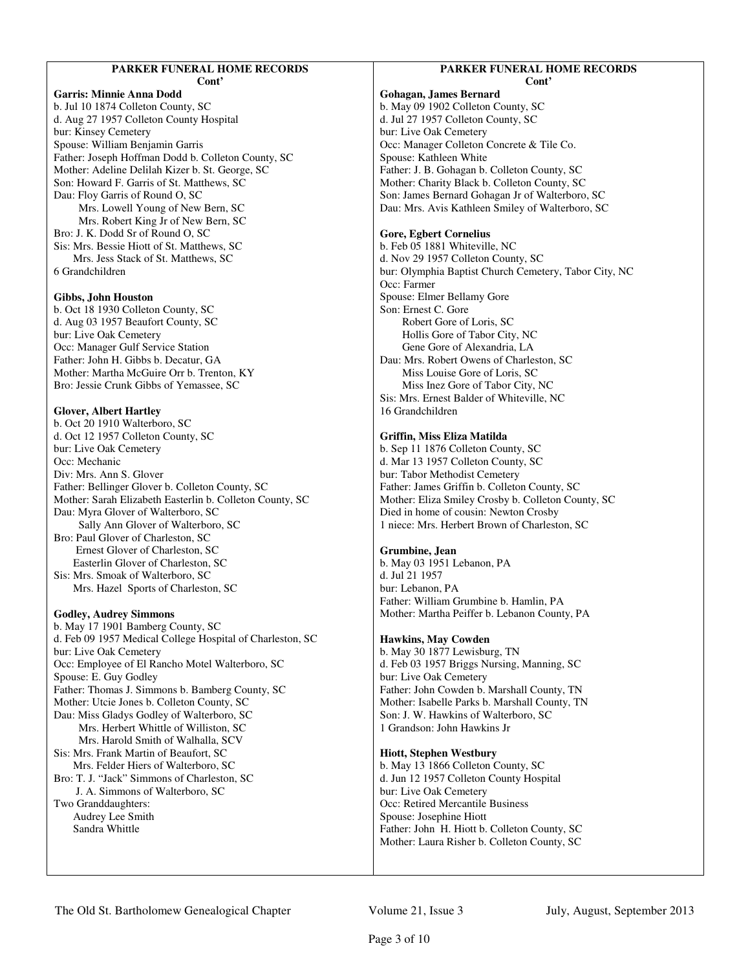#### **PARKER FUNERAL HOME RECORDS Cont'**

**Garris: Minnie Anna Dodd**  b. Jul 10 1874 Colleton County, SC d. Aug 27 1957 Colleton County Hospital bur: Kinsey Cemetery Spouse: William Benjamin Garris Father: Joseph Hoffman Dodd b. Colleton County, SC Mother: Adeline Delilah Kizer b. St. George, SC Son: Howard F. Garris of St. Matthews, SC Dau: Floy Garris of Round O, SC Mrs. Lowell Young of New Bern, SC Mrs. Robert King Jr of New Bern, SC Bro: J. K. Dodd Sr of Round O, SC Sis: Mrs. Bessie Hiott of St. Matthews, SC Mrs. Jess Stack of St. Matthews, SC 6 Grandchildren

#### **Gibbs, John Houston**

b. Oct 18 1930 Colleton County, SC d. Aug 03 1957 Beaufort County, SC bur: Live Oak Cemetery Occ: Manager Gulf Service Station Father: John H. Gibbs b. Decatur, GA Mother: Martha McGuire Orr b. Trenton, KY Bro: Jessie Crunk Gibbs of Yemassee, SC

#### **Glover, Albert Hartley**

b. Oct 20 1910 Walterboro, SC d. Oct 12 1957 Colleton County, SC bur: Live Oak Cemetery Occ: Mechanic Div: Mrs. Ann S. Glover Father: Bellinger Glover b. Colleton County, SC Mother: Sarah Elizabeth Easterlin b. Colleton County, SC Dau: Myra Glover of Walterboro, SC Sally Ann Glover of Walterboro, SC Bro: Paul Glover of Charleston, SC Ernest Glover of Charleston, SC Easterlin Glover of Charleston, SC Sis: Mrs. Smoak of Walterboro, SC Mrs. Hazel Sports of Charleston, SC **Godley, Audrey Simmons** 

b. May 17 1901 Bamberg County, SC d. Feb 09 1957 Medical College Hospital of Charleston, SC bur: Live Oak Cemetery Occ: Employee of El Rancho Motel Walterboro, SC Spouse: E. Guy Godley Father: Thomas J. Simmons b. Bamberg County, SC Mother: Utcie Jones b. Colleton County, SC Dau: Miss Gladys Godley of Walterboro, SC Mrs. Herbert Whittle of Williston, SC Mrs. Harold Smith of Walhalla, SCV Sis: Mrs. Frank Martin of Beaufort, SC Mrs. Felder Hiers of Walterboro, SC Bro: T. J. "Jack" Simmons of Charleston, SC J. A. Simmons of Walterboro, SC Two Granddaughters: Audrey Lee Smith Sandra Whittle

#### **PARKER FUNERAL HOME RECORDS Cont'**

**Gohagan, James Bernard**  b. May 09 1902 Colleton County, SC d. Jul 27 1957 Colleton County, SC bur: Live Oak Cemetery Occ: Manager Colleton Concrete & Tile Co. Spouse: Kathleen White Father: J. B. Gohagan b. Colleton County, SC Mother: Charity Black b. Colleton County, SC Son: James Bernard Gohagan Jr of Walterboro, SC Dau: Mrs. Avis Kathleen Smiley of Walterboro, SC

#### **Gore, Egbert Cornelius**

b. Feb 05 1881 Whiteville, NC d. Nov 29 1957 Colleton County, SC bur: Olymphia Baptist Church Cemetery, Tabor City, NC Occ: Farmer Spouse: Elmer Bellamy Gore Son: Ernest C. Gore Robert Gore of Loris, SC Hollis Gore of Tabor City, NC Gene Gore of Alexandria, LA Dau: Mrs. Robert Owens of Charleston, SC Miss Louise Gore of Loris, SC Miss Inez Gore of Tabor City, NC Sis: Mrs. Ernest Balder of Whiteville, NC 16 Grandchildren

### **Griffin, Miss Eliza Matilda**

b. Sep 11 1876 Colleton County, SC d. Mar 13 1957 Colleton County, SC bur: Tabor Methodist Cemetery Father: James Griffin b. Colleton County, SC Mother: Eliza Smiley Crosby b. Colleton County, SC Died in home of cousin: Newton Crosby 1 niece: Mrs. Herbert Brown of Charleston, SC

# **Grumbine, Jean**

b. May 03 1951 Lebanon, PA d. Jul 21 1957 bur: Lebanon, PA Father: William Grumbine b. Hamlin, PA Mother: Martha Peiffer b. Lebanon County, PA

#### **Hawkins, May Cowden**

b. May 30 1877 Lewisburg, TN d. Feb 03 1957 Briggs Nursing, Manning, SC bur: Live Oak Cemetery Father: John Cowden b. Marshall County, TN Mother: Isabelle Parks b. Marshall County, TN Son: J. W. Hawkins of Walterboro, SC 1 Grandson: John Hawkins Jr

#### **Hiott, Stephen Westbury**

b. May 13 1866 Colleton County, SC d. Jun 12 1957 Colleton County Hospital bur: Live Oak Cemetery Occ: Retired Mercantile Business Spouse: Josephine Hiott Father: John H. Hiott b. Colleton County, SC Mother: Laura Risher b. Colleton County, SC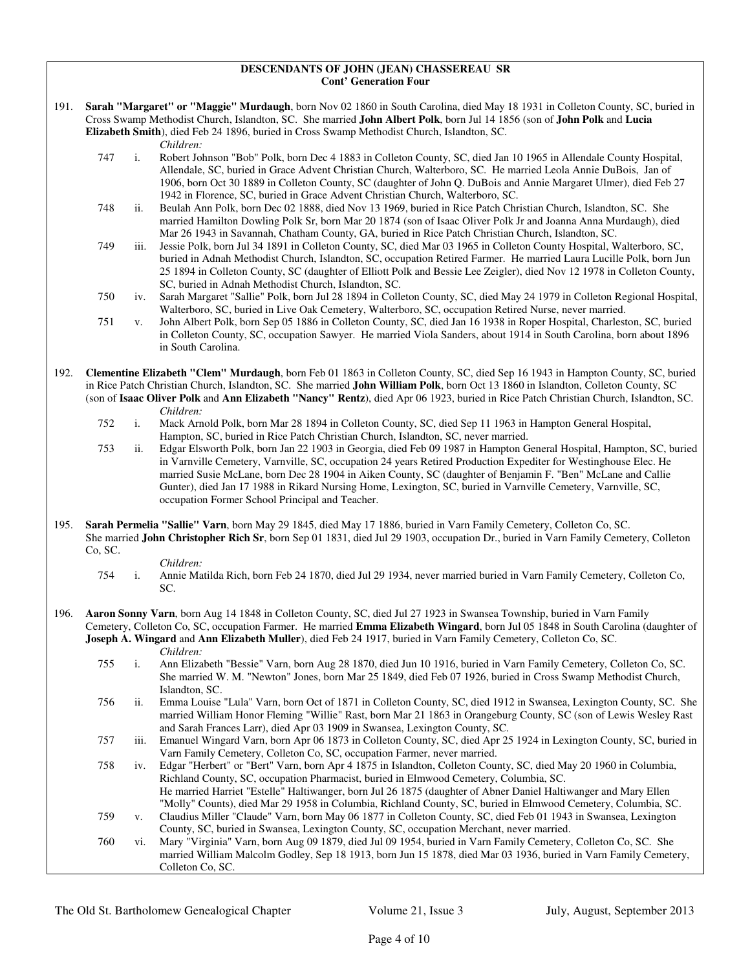#### **DESCENDANTS OF JOHN (JEAN) CHASSEREAU SR Cont' Generation Four**

191. **Sarah "Margaret" or "Maggie" Murdaugh**, born Nov 02 1860 in South Carolina, died May 18 1931 in Colleton County, SC, buried in Cross Swamp Methodist Church, Islandton, SC. She married **John Albert Polk**, born Jul 14 1856 (son of **John Polk** and **Lucia Elizabeth Smith**), died Feb 24 1896, buried in Cross Swamp Methodist Church, Islandton, SC.

*Children:*

- 747 i. Robert Johnson "Bob" Polk, born Dec 4 1883 in Colleton County, SC, died Jan 10 1965 in Allendale County Hospital, Allendale, SC, buried in Grace Advent Christian Church, Walterboro, SC. He married Leola Annie DuBois, Jan of 1906, born Oct 30 1889 in Colleton County, SC (daughter of John Q. DuBois and Annie Margaret Ulmer), died Feb 27 1942 in Florence, SC, buried in Grace Advent Christian Church, Walterboro, SC.
- 748 ii. Beulah Ann Polk, born Dec 02 1888, died Nov 13 1969, buried in Rice Patch Christian Church, Islandton, SC. She married Hamilton Dowling Polk Sr, born Mar 20 1874 (son of Isaac Oliver Polk Jr and Joanna Anna Murdaugh), died Mar 26 1943 in Savannah, Chatham County, GA, buried in Rice Patch Christian Church, Islandton, SC.
- 749 iii. Jessie Polk, born Jul 34 1891 in Colleton County, SC, died Mar 03 1965 in Colleton County Hospital, Walterboro, SC, buried in Adnah Methodist Church, Islandton, SC, occupation Retired Farmer. He married Laura Lucille Polk, born Jun 25 1894 in Colleton County, SC (daughter of Elliott Polk and Bessie Lee Zeigler), died Nov 12 1978 in Colleton County, SC, buried in Adnah Methodist Church, Islandton, SC.
- 750 iv. Sarah Margaret "Sallie" Polk, born Jul 28 1894 in Colleton County, SC, died May 24 1979 in Colleton Regional Hospital, Walterboro, SC, buried in Live Oak Cemetery, Walterboro, SC, occupation Retired Nurse, never married.
- 751 v. John Albert Polk, born Sep 05 1886 in Colleton County, SC, died Jan 16 1938 in Roper Hospital, Charleston, SC, buried in Colleton County, SC, occupation Sawyer. He married Viola Sanders, about 1914 in South Carolina, born about 1896 in South Carolina.
- 192. **Clementine Elizabeth "Clem" Murdaugh**, born Feb 01 1863 in Colleton County, SC, died Sep 16 1943 in Hampton County, SC, buried in Rice Patch Christian Church, Islandton, SC. She married **John William Polk**, born Oct 13 1860 in Islandton, Colleton County, SC (son of **Isaac Oliver Polk** and **Ann Elizabeth "Nancy" Rentz**), died Apr 06 1923, buried in Rice Patch Christian Church, Islandton, SC.
	- *Children:*<br>752 i. Mack Arr Mack Arnold Polk, born Mar 28 1894 in Colleton County, SC, died Sep 11 1963 in Hampton General Hospital, Hampton, SC, buried in Rice Patch Christian Church, Islandton, SC, never married.
	- 753 ii. Edgar Elsworth Polk, born Jan 22 1903 in Georgia, died Feb 09 1987 in Hampton General Hospital, Hampton, SC, buried in Varnville Cemetery, Varnville, SC, occupation 24 years Retired Production Expediter for Westinghouse Elec. He married Susie McLane, born Dec 28 1904 in Aiken County, SC (daughter of Benjamin F. "Ben" McLane and Callie Gunter), died Jan 17 1988 in Rikard Nursing Home, Lexington, SC, buried in Varnville Cemetery, Varnville, SC, occupation Former School Principal and Teacher.
- 195. **Sarah Permelia "Sallie" Varn**, born May 29 1845, died May 17 1886, buried in Varn Family Cemetery, Colleton Co, SC. She married **John Christopher Rich Sr**, born Sep 01 1831, died Jul 29 1903, occupation Dr., buried in Varn Family Cemetery, Colleton Co, SC.
	- *Children:*
	- 754 i. Annie Matilda Rich, born Feb 24 1870, died Jul 29 1934, never married buried in Varn Family Cemetery, Colleton Co, SC.
- 196. **Aaron Sonny Varn**, born Aug 14 1848 in Colleton County, SC, died Jul 27 1923 in Swansea Township, buried in Varn Family Cemetery, Colleton Co, SC, occupation Farmer. He married **Emma Elizabeth Wingard**, born Jul 05 1848 in South Carolina (daughter of **Joseph A. Wingard** and **Ann Elizabeth Muller**), died Feb 24 1917, buried in Varn Family Cemetery, Colleton Co, SC. *Children:*
	- 755 i. Ann Elizabeth "Bessie" Varn, born Aug 28 1870, died Jun 10 1916, buried in Varn Family Cemetery, Colleton Co, SC. She married W. M. "Newton" Jones, born Mar 25 1849, died Feb 07 1926, buried in Cross Swamp Methodist Church, Islandton, SC.
	- 756 ii. Emma Louise "Lula" Varn, born Oct of 1871 in Colleton County, SC, died 1912 in Swansea, Lexington County, SC. She married William Honor Fleming "Willie" Rast, born Mar 21 1863 in Orangeburg County, SC (son of Lewis Wesley Rast and Sarah Frances Larr), died Apr 03 1909 in Swansea, Lexington County, SC.
	- 757 iii. Emanuel Wingard Varn, born Apr 06 1873 in Colleton County, SC, died Apr 25 1924 in Lexington County, SC, buried in Varn Family Cemetery, Colleton Co, SC, occupation Farmer, never married.
	- 758 iv. Edgar "Herbert" or "Bert" Varn, born Apr 4 1875 in Islandton, Colleton County, SC, died May 20 1960 in Columbia, Richland County, SC, occupation Pharmacist, buried in Elmwood Cemetery, Columbia, SC. He married Harriet "Estelle" Haltiwanger, born Jul 26 1875 (daughter of Abner Daniel Haltiwanger and Mary Ellen
	- "Molly" Counts), died Mar 29 1958 in Columbia, Richland County, SC, buried in Elmwood Cemetery, Columbia, SC. 759 v. Claudius Miller "Claude" Varn, born May 06 1877 in Colleton County, SC, died Feb 01 1943 in Swansea, Lexington County, SC, buried in Swansea, Lexington County, SC, occupation Merchant, never married.
	- 760 vi. Mary "Virginia" Varn, born Aug 09 1879, died Jul 09 1954, buried in Varn Family Cemetery, Colleton Co, SC. She married William Malcolm Godley, Sep 18 1913, born Jun 15 1878, died Mar 03 1936, buried in Varn Family Cemetery, Colleton Co, SC.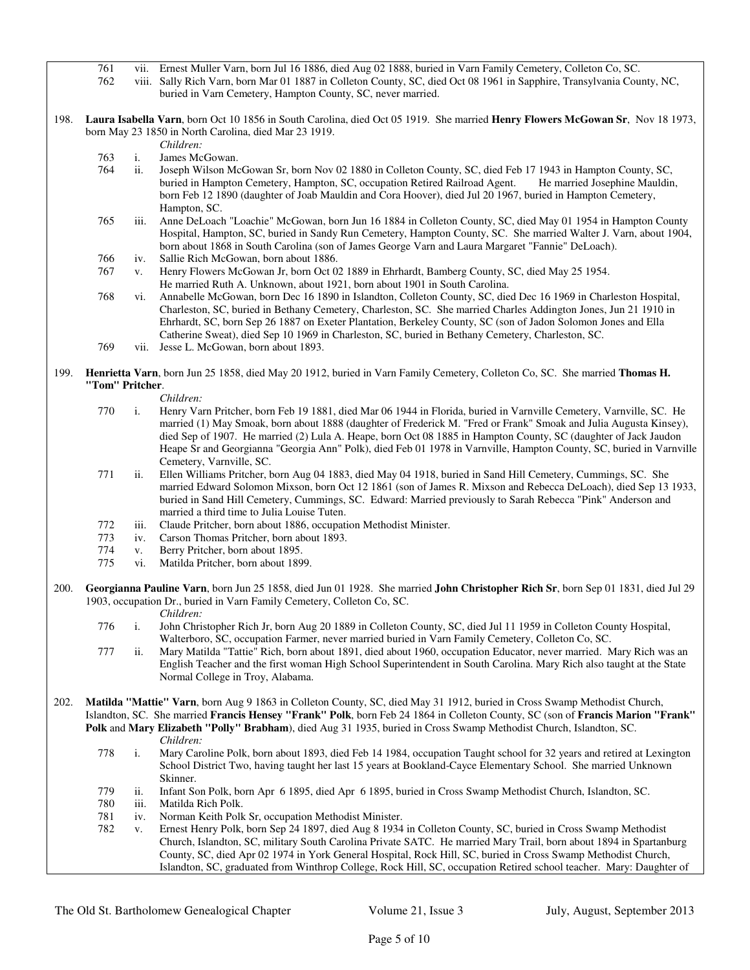761 vii. Ernest Muller Varn, born Jul 16 1886, died Aug 02 1888, buried in Varn Family Cemetery, Colleton Co, SC.<br>762 viii. Sally Rich Varn, born Mar 01 1887 in Colleton County, SC, died Oct 08 1961 in Sapphire, Transylvan

- viii. Sally Rich Varn, born Mar 01 1887 in Colleton County, SC, died Oct 08 1961 in Sapphire, Transylvania County, NC, buried in Varn Cemetery, Hampton County, SC, never married.
- 198. **Laura Isabella Varn**, born Oct 10 1856 in South Carolina, died Oct 05 1919. She married **Henry Flowers McGowan Sr**, Nov 18 1973, born May 23 1850 in North Carolina, died Mar 23 1919.
	- *Children:*
	- 763 i. James McGowan.
	- 764 ii. Joseph Wilson McGowan Sr, born Nov 02 1880 in Colleton County, SC, died Feb 17 1943 in Hampton County, SC, buried in Hampton Cemetery, Hampton, SC, occupation Retired Railroad Agent. He married Josephine Mauldin, born Feb 12 1890 (daughter of Joab Mauldin and Cora Hoover), died Jul 20 1967, buried in Hampton Cemetery, Hampton, SC.
	- 765 iii. Anne DeLoach "Loachie" McGowan, born Jun 16 1884 in Colleton County, SC, died May 01 1954 in Hampton County Hospital, Hampton, SC, buried in Sandy Run Cemetery, Hampton County, SC. She married Walter J. Varn, about 1904, born about 1868 in South Carolina (son of James George Varn and Laura Margaret "Fannie" DeLoach).
	- 766 iv. Sallie Rich McGowan, born about 1886.
	- 767 v. Henry Flowers McGowan Jr, born Oct 02 1889 in Ehrhardt, Bamberg County, SC, died May 25 1954. He married Ruth A. Unknown, about 1921, born about 1901 in South Carolina.
	- 768 vi. Annabelle McGowan, born Dec 16 1890 in Islandton, Colleton County, SC, died Dec 16 1969 in Charleston Hospital, Charleston, SC, buried in Bethany Cemetery, Charleston, SC. She married Charles Addington Jones, Jun 21 1910 in Ehrhardt, SC, born Sep 26 1887 on Exeter Plantation, Berkeley County, SC (son of Jadon Solomon Jones and Ella Catherine Sweat), died Sep 10 1969 in Charleston, SC, buried in Bethany Cemetery, Charleston, SC.
	- 769 vii. Jesse L. McGowan, born about 1893.
- 199. **Henrietta Varn**, born Jun 25 1858, died May 20 1912, buried in Varn Family Cemetery, Colleton Co, SC. She married **Thomas H. "Tom" Pritcher**.
	-
	- *Children:*<br>770 i. Henry Va i. Henry Varn Pritcher, born Feb 19 1881, died Mar 06 1944 in Florida, buried in Varnville Cemetery, Varnville, SC. He married (1) May Smoak, born about 1888 (daughter of Frederick M. "Fred or Frank" Smoak and Julia Augusta Kinsey), died Sep of 1907. He married (2) Lula A. Heape, born Oct 08 1885 in Hampton County, SC (daughter of Jack Jaudon Heape Sr and Georgianna "Georgia Ann" Polk), died Feb 01 1978 in Varnville, Hampton County, SC, buried in Varnville Cemetery, Varnville, SC.
	- 771 ii. Ellen Williams Pritcher, born Aug 04 1883, died May 04 1918, buried in Sand Hill Cemetery, Cummings, SC. She married Edward Solomon Mixson, born Oct 12 1861 (son of James R. Mixson and Rebecca DeLoach), died Sep 13 1933, buried in Sand Hill Cemetery, Cummings, SC. Edward: Married previously to Sarah Rebecca "Pink" Anderson and married a third time to Julia Louise Tuten.
	- 772 iii. Claude Pritcher, born about 1886, occupation Methodist Minister.
	- iv. Carson Thomas Pritcher, born about 1893.
	- 774 v. Berry Pritcher, born about 1895.
	- 775 vi. Matilda Pritcher, born about 1899.
- 200. **Georgianna Pauline Varn**, born Jun 25 1858, died Jun 01 1928. She married **John Christopher Rich Sr**, born Sep 01 1831, died Jul 29 1903, occupation Dr., buried in Varn Family Cemetery, Colleton Co, SC. *Children:*
	- 776 i. John Christopher Rich Jr, born Aug 20 1889 in Colleton County, SC, died Jul 11 1959 in Colleton County Hospital, Walterboro, SC, occupation Farmer, never married buried in Varn Family Cemetery, Colleton Co, SC.
	- 777 ii. Mary Matilda "Tattie" Rich, born about 1891, died about 1960, occupation Educator, never married. Mary Rich was an English Teacher and the first woman High School Superintendent in South Carolina. Mary Rich also taught at the State Normal College in Troy, Alabama.
- 202. **Matilda "Mattie" Varn**, born Aug 9 1863 in Colleton County, SC, died May 31 1912, buried in Cross Swamp Methodist Church, Islandton, SC. She married **Francis Hensey "Frank" Polk**, born Feb 24 1864 in Colleton County, SC (son of **Francis Marion "Frank" Polk** and **Mary Elizabeth "Polly" Brabham**), died Aug 31 1935, buried in Cross Swamp Methodist Church, Islandton, SC. *Children:*
	- 778 i. Mary Caroline Polk, born about 1893, died Feb 14 1984, occupation Taught school for 32 years and retired at Lexington School District Two, having taught her last 15 years at Bookland-Cayce Elementary School. She married Unknown Skinner.
	- 779 ii. Infant Son Polk, born Apr 6 1895, died Apr 6 1895, buried in Cross Swamp Methodist Church, Islandton, SC.
	- 780 iii. Matilda Rich Polk.
	- 781 iv. Norman Keith Polk Sr, occupation Methodist Minister.
	- 782 v. Ernest Henry Polk, born Sep 24 1897, died Aug 8 1934 in Colleton County, SC, buried in Cross Swamp Methodist Church, Islandton, SC, military South Carolina Private SATC. He married Mary Trail, born about 1894 in Spartanburg County, SC, died Apr 02 1974 in York General Hospital, Rock Hill, SC, buried in Cross Swamp Methodist Church, Islandton, SC, graduated from Winthrop College, Rock Hill, SC, occupation Retired school teacher. Mary: Daughter of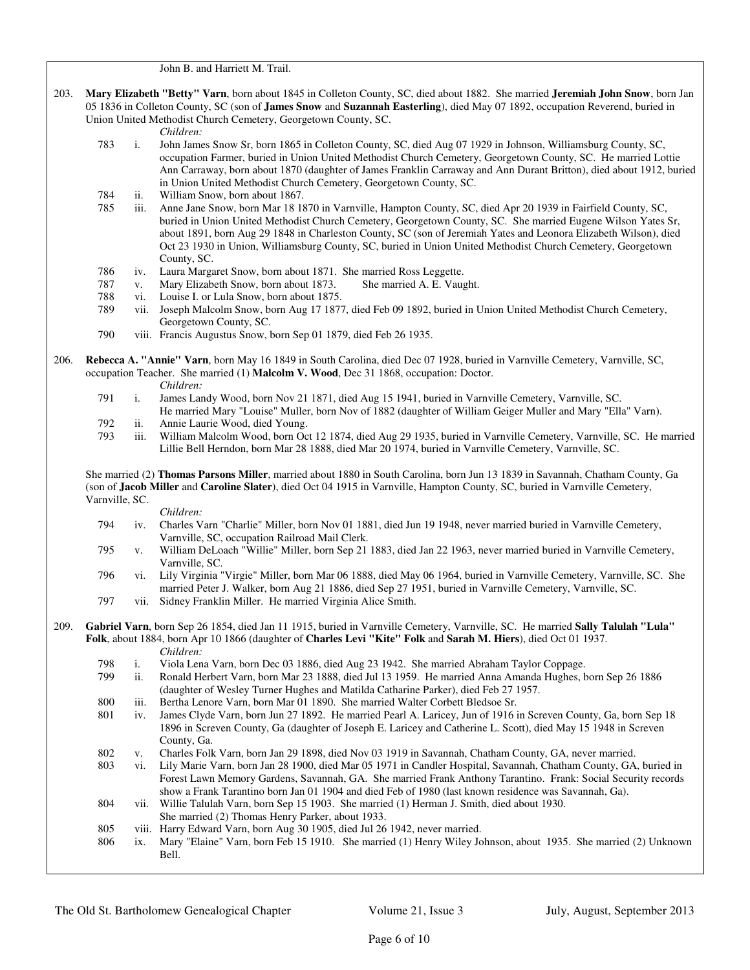John B. and Harriett M. Trail.

- 203. **Mary Elizabeth "Betty" Varn**, born about 1845 in Colleton County, SC, died about 1882. She married **Jeremiah John Snow**, born Jan 05 1836 in Colleton County, SC (son of **James Snow** and **Suzannah Easterling**), died May 07 1892, occupation Reverend, buried in Union United Methodist Church Cemetery, Georgetown County, SC.
	- *Children:*
	- 783 i. John James Snow Sr, born 1865 in Colleton County, SC, died Aug 07 1929 in Johnson, Williamsburg County, SC, occupation Farmer, buried in Union United Methodist Church Cemetery, Georgetown County, SC. He married Lottie Ann Carraway, born about 1870 (daughter of James Franklin Carraway and Ann Durant Britton), died about 1912, buried in Union United Methodist Church Cemetery, Georgetown County, SC.
	- 784 ii. William Snow, born about 1867.
	- 785 iii. Anne Jane Snow, born Mar 18 1870 in Varnville, Hampton County, SC, died Apr 20 1939 in Fairfield County, SC, buried in Union United Methodist Church Cemetery, Georgetown County, SC. She married Eugene Wilson Yates Sr, about 1891, born Aug 29 1848 in Charleston County, SC (son of Jeremiah Yates and Leonora Elizabeth Wilson), died Oct 23 1930 in Union, Williamsburg County, SC, buried in Union United Methodist Church Cemetery, Georgetown County, SC.
	- 786 iv. Laura Margaret Snow, born about 1871. She married Ross Leggette.
	- 787 v. Mary Elizabeth Snow, born about 1873. She married A. E. Vaught.
	- 788 vi. Louise I. or Lula Snow, born about 1875.
	- 789 vii. Joseph Malcolm Snow, born Aug 17 1877, died Feb 09 1892, buried in Union United Methodist Church Cemetery, Georgetown County, SC.
	- 790 viii. Francis Augustus Snow, born Sep 01 1879, died Feb 26 1935.
- 206. **Rebecca A. "Annie" Varn**, born May 16 1849 in South Carolina, died Dec 07 1928, buried in Varnville Cemetery, Varnville, SC, occupation Teacher. She married (1) **Malcolm V. Wood**, Dec 31 1868, occupation: Doctor.
	-
	- *Children:*<br>791 i. James Lar 1. James Landy Wood, born Nov 21 1871, died Aug 15 1941, buried in Varnville Cemetery, Varnville, SC. He married Mary "Louise" Muller, born Nov of 1882 (daughter of William Geiger Muller and Mary "Ella" Varn).
	- ii. Annie Laurie Wood, died Young.
	- 793 iii. William Malcolm Wood, born Oct 12 1874, died Aug 29 1935, buried in Varnville Cemetery, Varnville, SC. He married Lillie Bell Herndon, born Mar 28 1888, died Mar 20 1974, buried in Varnville Cemetery, Varnville, SC.

 She married (2) **Thomas Parsons Miller**, married about 1880 in South Carolina, born Jun 13 1839 in Savannah, Chatham County, Ga (son of **Jacob Miller** and **Caroline Slater**), died Oct 04 1915 in Varnville, Hampton County, SC, buried in Varnville Cemetery, Varnville, SC.

- *Children:* 794 iv. Charles Varn "Charlie" Miller, born Nov 01 1881, died Jun 19 1948, never married buried in Varnville Cemetery, Varnville, SC, occupation Railroad Mail Clerk.
	- 795 v. William DeLoach "Willie" Miller, born Sep 21 1883, died Jan 22 1963, never married buried in Varnville Cemetery, Varnville, SC.
	- 796 vi. Lily Virginia "Virgie" Miller, born Mar 06 1888, died May 06 1964, buried in Varnville Cemetery, Varnville, SC. She married Peter J. Walker, born Aug 21 1886, died Sep 27 1951, buried in Varnville Cemetery, Varnville, SC.
	- 797 vii. Sidney Franklin Miller. He married Virginia Alice Smith.

#### 209. **Gabriel Varn**, born Sep 26 1854, died Jan 11 1915, buried in Varnville Cemetery, Varnville, SC. He married **Sally Talulah "Lula" Folk**, about 1884, born Apr 10 1866 (daughter of **Charles Levi "Kite" Folk** and **Sarah M. Hiers**), died Oct 01 1937.

- *Children:* 798 i. Viola Lena Varn, born Dec 03 1886, died Aug 23 1942. She married Abraham Taylor Coppage. 799 ii. Ronald Herbert Varn, born Mar 23 1888, died Jul 13 1959. He married Anna Amanda Hughes, born Sep 26 1886 (daughter of Wesley Turner Hughes and Matilda Catharine Parker), died Feb 27 1957. 800 iii. Bertha Lenore Varn, born Mar 01 1890. She married Walter Corbett Bledsoe Sr.<br>801 iv. James Clyde Varn, born Jun 27 1892. He married Pearl A. Laricey, Jun of 1916 i iv. James Clyde Varn, born Jun 27 1892. He married Pearl A. Laricey, Jun of 1916 in Screven County, Ga, born Sep 18 1896 in Screven County, Ga (daughter of Joseph E. Laricey and Catherine L. Scott), died May 15 1948 in Screven County, Ga.
- 802 v. Charles Folk Varn, born Jan 29 1898, died Nov 03 1919 in Savannah, Chatham County, GA, never married.
- 803 vi. Lily Marie Varn, born Jan 28 1900, died Mar 05 1971 in Candler Hospital, Savannah, Chatham County, GA, buried in Forest Lawn Memory Gardens, Savannah, GA. She married Frank Anthony Tarantino. Frank: Social Security records show a Frank Tarantino born Jan 01 1904 and died Feb of 1980 (last known residence was Savannah, Ga).
- 804 vii. Willie Talulah Varn, born Sep 15 1903. She married (1) Herman J. Smith, died about 1930.
- She married (2) Thomas Henry Parker, about 1933.
- 805 viii. Harry Edward Varn, born Aug 30 1905, died Jul 26 1942, never married.<br>806 ix. Mary "Elaine" Varn, born Feb 15 1910. She married (1) Henry Wiley Jo
- ix. Mary "Elaine" Varn, born Feb 15 1910. She married (1) Henry Wiley Johnson, about 1935. She married (2) Unknown Bell.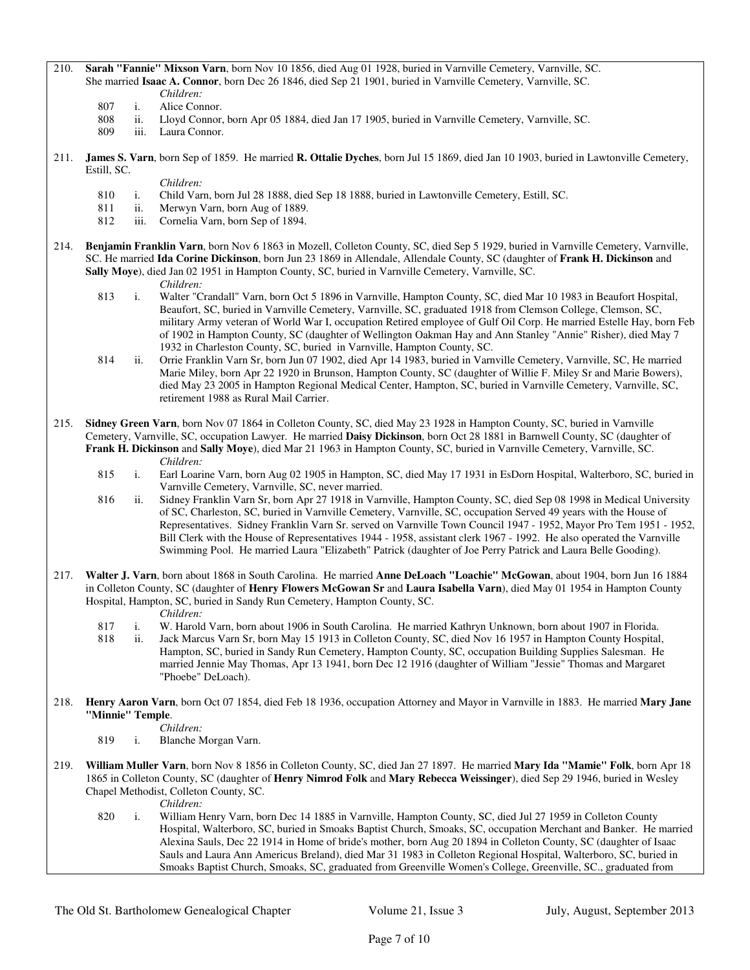# 210. **Sarah "Fannie" Mixson Varn**, born Nov 10 1856, died Aug 01 1928, buried in Varnville Cemetery, Varnville, SC. She married **Isaac A. Connor**, born Dec 26 1846, died Sep 21 1901, buried in Varnville Cemetery, Varnville, SC.

- *Children:*<br>807 i. Alice Con i. Alice Connor.
- 808 ii. Lloyd Connor, born Apr 05 1884, died Jan 17 1905, buried in Varnville Cemetery, Varnville, SC.
- 809 iii. Laura Connor.
- 211. **James S. Varn**, born Sep of 1859. He married **R. Ottalie Dyches**, born Jul 15 1869, died Jan 10 1903, buried in Lawtonville Cemetery, Estill, SC.
	- *Children:*
	- 810 i. Child Varn, born Jul 28 1888, died Sep 18 1888, buried in Lawtonville Cemetery, Estill, SC.
	- 811 ii. Merwyn Varn, born Aug of 1889.<br>812 iii. Cornelia Varn, born Sep of 1894.
	- Cornelia Varn, born Sep of 1894.
- 214. **Benjamin Franklin Varn**, born Nov 6 1863 in Mozell, Colleton County, SC, died Sep 5 1929, buried in Varnville Cemetery, Varnville, SC. He married **Ida Corine Dickinson**, born Jun 23 1869 in Allendale, Allendale County, SC (daughter of **Frank H. Dickinson** and **Sally Moye**), died Jan 02 1951 in Hampton County, SC, buried in Varnville Cemetery, Varnville, SC.
	- *Children:*
	- 813 i. Walter "Crandall" Varn, born Oct 5 1896 in Varnville, Hampton County, SC, died Mar 10 1983 in Beaufort Hospital, Beaufort, SC, buried in Varnville Cemetery, Varnville, SC, graduated 1918 from Clemson College, Clemson, SC, military Army veteran of World War I, occupation Retired employee of Gulf Oil Corp. He married Estelle Hay, born Feb of 1902 in Hampton County, SC (daughter of Wellington Oakman Hay and Ann Stanley "Annie" Risher), died May 7 1932 in Charleston County, SC, buried in Varnville, Hampton County, SC.
	- 814 ii. Orrie Franklin Varn Sr, born Jun 07 1902, died Apr 14 1983, buried in Varnville Cemetery, Varnville, SC, He married Marie Miley, born Apr 22 1920 in Brunson, Hampton County, SC (daughter of Willie F. Miley Sr and Marie Bowers), died May 23 2005 in Hampton Regional Medical Center, Hampton, SC, buried in Varnville Cemetery, Varnville, SC, retirement 1988 as Rural Mail Carrier.
- 215. **Sidney Green Varn**, born Nov 07 1864 in Colleton County, SC, died May 23 1928 in Hampton County, SC, buried in Varnville Cemetery, Varnville, SC, occupation Lawyer. He married **Daisy Dickinson**, born Oct 28 1881 in Barnwell County, SC (daughter of **Frank H. Dickinson** and **Sally Moye**), died Mar 21 1963 in Hampton County, SC, buried in Varnville Cemetery, Varnville, SC.
	- *Children:*<br>815 i. Earl Loari 815 i. Earl Loarine Varn, born Aug 02 1905 in Hampton, SC, died May 17 1931 in EsDorn Hospital, Walterboro, SC, buried in Varnville Cemetery, Varnville, SC, never married.
	- 816 ii. Sidney Franklin Varn Sr, born Apr 27 1918 in Varnville, Hampton County, SC, died Sep 08 1998 in Medical University of SC, Charleston, SC, buried in Varnville Cemetery, Varnville, SC, occupation Served 49 years with the House of Representatives. Sidney Franklin Varn Sr. served on Varnville Town Council 1947 - 1952, Mayor Pro Tem 1951 - 1952, Bill Clerk with the House of Representatives 1944 - 1958, assistant clerk 1967 - 1992. He also operated the Varnville Swimming Pool. He married Laura "Elizabeth" Patrick (daughter of Joe Perry Patrick and Laura Belle Gooding).
- 217. **Walter J. Varn**, born about 1868 in South Carolina. He married **Anne DeLoach "Loachie" McGowan**, about 1904, born Jun 16 1884 in Colleton County, SC (daughter of **Henry Flowers McGowan Sr** and **Laura Isabella Varn**), died May 01 1954 in Hampton County Hospital, Hampton, SC, buried in Sandy Run Cemetery, Hampton County, SC. *Children:*
	- 817 i. W. Harold Varn, born about 1906 in South Carolina. He married Kathryn Unknown, born about 1907 in Florida.
	- 818 ii. Jack Marcus Varn Sr, born May 15 1913 in Colleton County, SC, died Nov 16 1957 in Hampton County Hospital, Hampton, SC, buried in Sandy Run Cemetery, Hampton County, SC, occupation Building Supplies Salesman. He married Jennie May Thomas, Apr 13 1941, born Dec 12 1916 (daughter of William "Jessie" Thomas and Margaret "Phoebe" DeLoach).
- 218. **Henry Aaron Varn**, born Oct 07 1854, died Feb 18 1936, occupation Attorney and Mayor in Varnville in 1883. He married **Mary Jane "Minnie" Temple**.
	- *Children:*<br>819 i. Blanche N
	- i. Blanche Morgan Varn.
- 219. **William Muller Varn**, born Nov 8 1856 in Colleton County, SC, died Jan 27 1897. He married **Mary Ida "Mamie" Folk**, born Apr 18 1865 in Colleton County, SC (daughter of **Henry Nimrod Folk** and **Mary Rebecca Weissinger**), died Sep 29 1946, buried in Wesley Chapel Methodist, Colleton County, SC.
	- *Children:*
	- 820 i. William Henry Varn, born Dec 14 1885 in Varnville, Hampton County, SC, died Jul 27 1959 in Colleton County Hospital, Walterboro, SC, buried in Smoaks Baptist Church, Smoaks, SC, occupation Merchant and Banker. He married Alexina Sauls, Dec 22 1914 in Home of bride's mother, born Aug 20 1894 in Colleton County, SC (daughter of Isaac Sauls and Laura Ann Americus Breland), died Mar 31 1983 in Colleton Regional Hospital, Walterboro, SC, buried in Smoaks Baptist Church, Smoaks, SC, graduated from Greenville Women's College, Greenville, SC., graduated from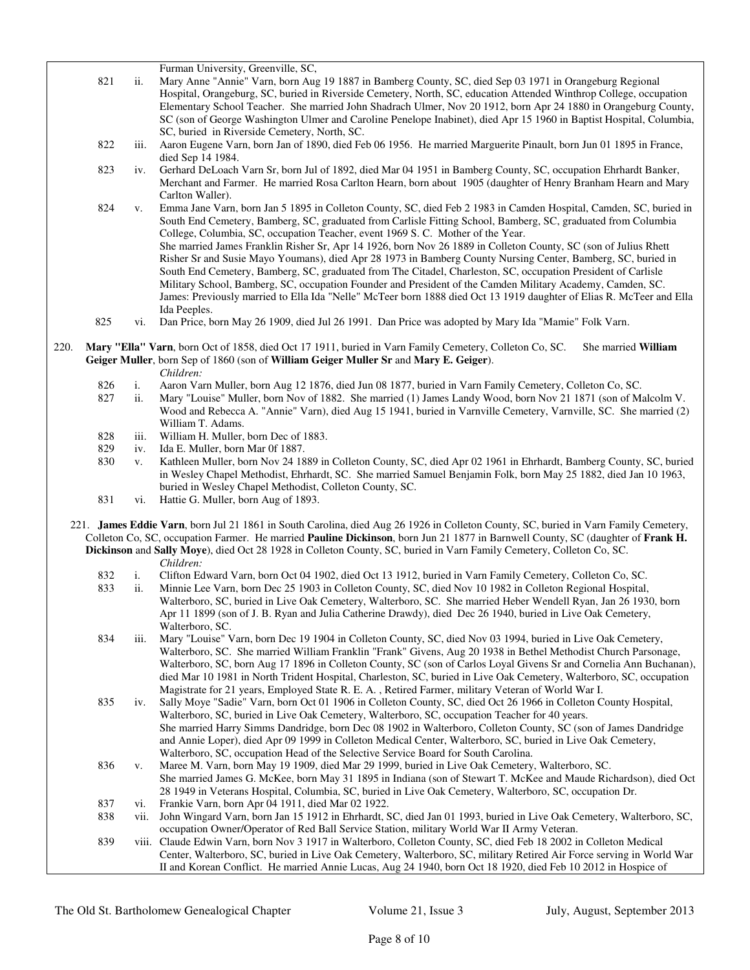Furman University, Greenville, SC,

- 821 ii. Mary Anne "Annie" Varn, born Aug 19 1887 in Bamberg County, SC, died Sep 03 1971 in Orangeburg Regional Hospital, Orangeburg, SC, buried in Riverside Cemetery, North, SC, education Attended Winthrop College, occupation Elementary School Teacher. She married John Shadrach Ulmer, Nov 20 1912, born Apr 24 1880 in Orangeburg County, SC (son of George Washington Ulmer and Caroline Penelope Inabinet), died Apr 15 1960 in Baptist Hospital, Columbia, SC, buried in Riverside Cemetery, North, SC.
- 822 iii. Aaron Eugene Varn, born Jan of 1890, died Feb 06 1956. He married Marguerite Pinault, born Jun 01 1895 in France, died Sep 14 1984.
- 823 iv. Gerhard DeLoach Varn Sr, born Jul of 1892, died Mar 04 1951 in Bamberg County, SC, occupation Ehrhardt Banker, Merchant and Farmer. He married Rosa Carlton Hearn, born about 1905 (daughter of Henry Branham Hearn and Mary Carlton Waller).
- 824 v. Emma Jane Varn, born Jan 5 1895 in Colleton County, SC, died Feb 2 1983 in Camden Hospital, Camden, SC, buried in South End Cemetery, Bamberg, SC, graduated from Carlisle Fitting School, Bamberg, SC, graduated from Columbia College, Columbia, SC, occupation Teacher, event 1969 S. C. Mother of the Year. She married James Franklin Risher Sr, Apr 14 1926, born Nov 26 1889 in Colleton County, SC (son of Julius Rhett Risher Sr and Susie Mayo Youmans), died Apr 28 1973 in Bamberg County Nursing Center, Bamberg, SC, buried in South End Cemetery, Bamberg, SC, graduated from The Citadel, Charleston, SC, occupation President of Carlisle Military School, Bamberg, SC, occupation Founder and President of the Camden Military Academy, Camden, SC. James: Previously married to Ella Ida "Nelle" McTeer born 1888 died Oct 13 1919 daughter of Elias R. McTeer and Ella Ida Peeples.

825 vi. Dan Price, born May 26 1909, died Jul 26 1991. Dan Price was adopted by Mary Ida "Mamie" Folk Varn.

- 220. **Mary "Ella" Varn**, born Oct of 1858, died Oct 17 1911, buried in Varn Family Cemetery, Colleton Co, SC. She married **William Geiger Muller**, born Sep of 1860 (son of **William Geiger Muller Sr** and **Mary E. Geiger**). *Children:*
	-
	- 826 i. Aaron Varn Muller, born Aug 12 1876, died Jun 08 1877, buried in Varn Family Cemetery, Colleton Co, SC.
	- ii. Mary "Louise" Muller, born Nov of 1882. She married (1) James Landy Wood, born Nov 21 1871 (son of Malcolm V. Wood and Rebecca A. "Annie" Varn), died Aug 15 1941, buried in Varnville Cemetery, Varnville, SC. She married (2) William T. Adams.
	- 828 iii. William H. Muller, born Dec of 1883.
	- 829 iv. Ida E. Muller, born Mar 0f 1887.
	- 830 v. Kathleen Muller, born Nov 24 1889 in Colleton County, SC, died Apr 02 1961 in Ehrhardt, Bamberg County, SC, buried in Wesley Chapel Methodist, Ehrhardt, SC. She married Samuel Benjamin Folk, born May 25 1882, died Jan 10 1963, buried in Wesley Chapel Methodist, Colleton County, SC.
	- 831 vi. Hattie G. Muller, born Aug of 1893.
	- 221. **James Eddie Varn**, born Jul 21 1861 in South Carolina, died Aug 26 1926 in Colleton County, SC, buried in Varn Family Cemetery, Colleton Co, SC, occupation Farmer. He married **Pauline Dickinson**, born Jun 21 1877 in Barnwell County, SC (daughter of **Frank H. Dickinson** and **Sally Moye**), died Oct 28 1928 in Colleton County, SC, buried in Varn Family Cemetery, Colleton Co, SC.
		- *Children:*
		- 832 i. Clifton Edward Varn, born Oct 04 1902, died Oct 13 1912, buried in Varn Family Cemetery, Colleton Co, SC.
		- 833 ii. Minnie Lee Varn, born Dec 25 1903 in Colleton County, SC, died Nov 10 1982 in Colleton Regional Hospital, Walterboro, SC, buried in Live Oak Cemetery, Walterboro, SC. She married Heber Wendell Ryan, Jan 26 1930, born Apr 11 1899 (son of J. B. Ryan and Julia Catherine Drawdy), died Dec 26 1940, buried in Live Oak Cemetery, Walterboro, SC.
		- 834 iii. Mary "Louise" Varn, born Dec 19 1904 in Colleton County, SC, died Nov 03 1994, buried in Live Oak Cemetery, Walterboro, SC. She married William Franklin "Frank" Givens, Aug 20 1938 in Bethel Methodist Church Parsonage, Walterboro, SC, born Aug 17 1896 in Colleton County, SC (son of Carlos Loyal Givens Sr and Cornelia Ann Buchanan), died Mar 10 1981 in North Trident Hospital, Charleston, SC, buried in Live Oak Cemetery, Walterboro, SC, occupation Magistrate for 21 years, Employed State R. E. A. , Retired Farmer, military Veteran of World War I.
		- 835 iv. Sally Moye "Sadie" Varn, born Oct 01 1906 in Colleton County, SC, died Oct 26 1966 in Colleton County Hospital, Walterboro, SC, buried in Live Oak Cemetery, Walterboro, SC, occupation Teacher for 40 years. She married Harry Simms Dandridge, born Dec 08 1902 in Walterboro, Colleton County, SC (son of James Dandridge and Annie Loper), died Apr 09 1999 in Colleton Medical Center, Walterboro, SC, buried in Live Oak Cemetery, Walterboro, SC, occupation Head of the Selective Service Board for South Carolina.
		- 836 v. Maree M. Varn, born May 19 1909, died Mar 29 1999, buried in Live Oak Cemetery, Walterboro, SC. She married James G. McKee, born May 31 1895 in Indiana (son of Stewart T. McKee and Maude Richardson), died Oct 28 1949 in Veterans Hospital, Columbia, SC, buried in Live Oak Cemetery, Walterboro, SC, occupation Dr. 837 vi. Frankie Varn, born Apr 04 1911, died Mar 02 1922.
		- 838 vii. John Wingard Varn, born Jan 15 1912 in Ehrhardt, SC, died Jan 01 1993, buried in Live Oak Cemetery, Walterboro, SC, occupation Owner/Operator of Red Ball Service Station, military World War II Army Veteran.
	- 839 viii. Claude Edwin Varn, born Nov 3 1917 in Walterboro, Colleton County, SC, died Feb 18 2002 in Colleton Medical Center, Walterboro, SC, buried in Live Oak Cemetery, Walterboro, SC, military Retired Air Force serving in World War II and Korean Conflict. He married Annie Lucas, Aug 24 1940, born Oct 18 1920, died Feb 10 2012 in Hospice of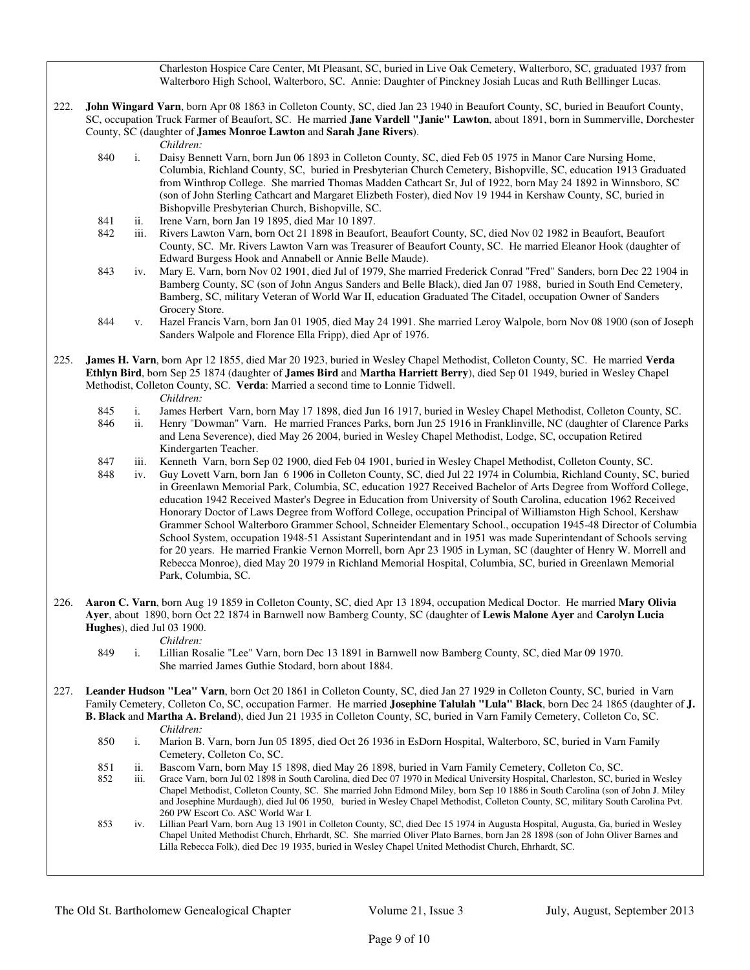Charleston Hospice Care Center, Mt Pleasant, SC, buried in Live Oak Cemetery, Walterboro, SC, graduated 1937 from Walterboro High School, Walterboro, SC. Annie: Daughter of Pinckney Josiah Lucas and Ruth Belllinger Lucas.

222. **John Wingard Varn**, born Apr 08 1863 in Colleton County, SC, died Jan 23 1940 in Beaufort County, SC, buried in Beaufort County, SC, occupation Truck Farmer of Beaufort, SC. He married **Jane Vardell "Janie" Lawton**, about 1891, born in Summerville, Dorchester County, SC (daughter of **James Monroe Lawton** and **Sarah Jane Rivers**).

*Children:*

- 840 i. Daisy Bennett Varn, born Jun 06 1893 in Colleton County, SC, died Feb 05 1975 in Manor Care Nursing Home, Columbia, Richland County, SC, buried in Presbyterian Church Cemetery, Bishopville, SC, education 1913 Graduated from Winthrop College. She married Thomas Madden Cathcart Sr, Jul of 1922, born May 24 1892 in Winnsboro, SC (son of John Sterling Cathcart and Margaret Elizbeth Foster), died Nov 19 1944 in Kershaw County, SC, buried in Bishopville Presbyterian Church, Bishopville, SC.
- 841 ii. Irene Varn, born Jan 19 1895, died Mar 10 1897.
- 842 iii. Rivers Lawton Varn, born Oct 21 1898 in Beaufort, Beaufort County, SC, died Nov 02 1982 in Beaufort, Beaufort County, SC. Mr. Rivers Lawton Varn was Treasurer of Beaufort County, SC. He married Eleanor Hook (daughter of Edward Burgess Hook and Annabell or Annie Belle Maude).
- 843 iv. Mary E. Varn, born Nov 02 1901, died Jul of 1979, She married Frederick Conrad "Fred" Sanders, born Dec 22 1904 in Bamberg County, SC (son of John Angus Sanders and Belle Black), died Jan 07 1988, buried in South End Cemetery, Bamberg, SC, military Veteran of World War II, education Graduated The Citadel, occupation Owner of Sanders Grocery Store.
- 844 v. Hazel Francis Varn, born Jan 01 1905, died May 24 1991. She married Leroy Walpole, born Nov 08 1900 (son of Joseph Sanders Walpole and Florence Ella Fripp), died Apr of 1976.

225. **James H. Varn**, born Apr 12 1855, died Mar 20 1923, buried in Wesley Chapel Methodist, Colleton County, SC. He married **Verda Ethlyn Bird**, born Sep 25 1874 (daughter of **James Bird** and **Martha Harriett Berry**), died Sep 01 1949, buried in Wesley Chapel Methodist, Colleton County, SC. **Verda**: Married a second time to Lonnie Tidwell.

- *Children:*<br>845 i. James Here
- 845 i. James Herbert Varn, born May 17 1898, died Jun 16 1917, buried in Wesley Chapel Methodist, Colleton County, SC.
- ii. Henry "Dowman" Varn. He married Frances Parks, born Jun 25 1916 in Franklinville, NC (daughter of Clarence Parks and Lena Severence), died May 26 2004, buried in Wesley Chapel Methodist, Lodge, SC, occupation Retired Kindergarten Teacher.
- 847 iii. Kenneth Varn, born Sep 02 1900, died Feb 04 1901, buried in Wesley Chapel Methodist, Colleton County, SC.

 848 iv. Guy Lovett Varn, born Jan 6 1906 in Colleton County, SC, died Jul 22 1974 in Columbia, Richland County, SC, buried in Greenlawn Memorial Park, Columbia, SC, education 1927 Received Bachelor of Arts Degree from Wofford College, education 1942 Received Master's Degree in Education from University of South Carolina, education 1962 Received Honorary Doctor of Laws Degree from Wofford College, occupation Principal of Williamston High School, Kershaw Grammer School Walterboro Grammer School, Schneider Elementary School., occupation 1945-48 Director of Columbia School System, occupation 1948-51 Assistant Superintendant and in 1951 was made Superintendant of Schools serving for 20 years. He married Frankie Vernon Morrell, born Apr 23 1905 in Lyman, SC (daughter of Henry W. Morrell and Rebecca Monroe), died May 20 1979 in Richland Memorial Hospital, Columbia, SC, buried in Greenlawn Memorial Park, Columbia, SC.

- 226. **Aaron C. Varn**, born Aug 19 1859 in Colleton County, SC, died Apr 13 1894, occupation Medical Doctor. He married **Mary Olivia Ayer**, about 1890, born Oct 22 1874 in Barnwell now Bamberg County, SC (daughter of **Lewis Malone Ayer** and **Carolyn Lucia Hughes**), died Jul 03 1900.
	- *Children:*<br>849 i. Lillian Ro 849 i. Lillian Rosalie "Lee" Varn, born Dec 13 1891 in Barnwell now Bamberg County, SC, died Mar 09 1970. She married James Guthie Stodard, born about 1884.
- 227. **Leander Hudson "Lea" Varn**, born Oct 20 1861 in Colleton County, SC, died Jan 27 1929 in Colleton County, SC, buried in Varn Family Cemetery, Colleton Co, SC, occupation Farmer. He married **Josephine Talulah "Lula" Black**, born Dec 24 1865 (daughter of **J. B. Black** and **Martha A. Breland**), died Jun 21 1935 in Colleton County, SC, buried in Varn Family Cemetery, Colleton Co, SC. *Children:*
	- 850 i. Marion B. Varn, born Jun 05 1895, died Oct 26 1936 in EsDorn Hospital, Walterboro, SC, buried in Varn Family Cemetery, Colleton Co, SC.
	- 851 ii. Bascom Varn, born May 15 1898, died May 26 1898, buried in Varn Family Cemetery, Colleton Co, SC.
	- 852 iii. Grace Varn, born Jul 02 1898 in South Carolina, died Dec 07 1970 in Medical University Hospital, Charleston, SC, buried in Wesley Chapel Methodist, Colleton County, SC. She married John Edmond Miley, born Sep 10 1886 in South Carolina (son of John J. Miley and Josephine Murdaugh), died Jul 06 1950, buried in Wesley Chapel Methodist, Colleton County, SC, military South Carolina Pvt. 260 PW Escort Co. ASC World War I.
	- 853 iv. Lillian Pearl Varn, born Aug 13 1901 in Colleton County, SC, died Dec 15 1974 in Augusta Hospital, Augusta, Ga, buried in Wesley Chapel United Methodist Church, Ehrhardt, SC. She married Oliver Plato Barnes, born Jan 28 1898 (son of John Oliver Barnes and Lilla Rebecca Folk), died Dec 19 1935, buried in Wesley Chapel United Methodist Church, Ehrhardt, SC.